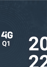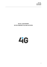**4iG Plc. 31 March 2022 FLASH REPORT**

# **4iG PLC. FLASH REPORT ON THE COMPANY'S Q1 2022 ACTIVITIES**

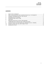# **CONTENTS**

| 2.  |  |
|-----|--|
| 3.  |  |
| 4.  |  |
| 5.  |  |
| 6.  |  |
| 7.  |  |
| 8.  |  |
| 9.  |  |
| 10. |  |
| 11. |  |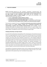## <span id="page-3-0"></span>**1. EXECUTIVE SUMMARY**

**4iG Plc. 1** (hereinafter referred to as: "4iG", "Company", "Corporation", "Corporate Group", "4iG Corporate Group") **has become the dominant info-communications corporate group in Hungary and the region through its recent acquisitions, organic growth and the contribution of its telecommunications portfolio to Antenna Hungária.** As a result of the construction in the telecommunications and IT sector, 4iG Plc. is:

- Hungary's **market leader IT systems integrator company;**
- **EXECTE:** the second largest telecommunications corporate group in Hungary;
- **the dominant professional in the West-Balkan region** including Albania and Montenegro **and at the same time the largest investor in Albania in the telecommunications segment.**

The transactions completed in the past year **closed the transformation process that has transformed 4iG Plc. from an IT systems integrator company into a broad-based international infocommunications companies group providing telecommunications and IT services.** Currently employing 6,900 people, the corporate group's ownership structure, its capital strength and its international economic links offer further growth potential for the corporate group in Hungary, the Western Balkans, the Middle East and the Central and Eastern European region.

#### *Strategic partnership, new large investors*

As a result of the transformation and acquisitions of the corporate group, the ownership structure of 4iG Plc. has changed significantly. At the time of the issuance of the flash report the main shareholder of 4iG remains Jászai Gellért, who holds the majority of the shares (51.22%) through investment companies and private equity funds. Bartolomeu Investment Kft. $^2$ , with Portuguese background, (7.41%) further increased its investment in the corporate group, with two new international investors, Çalik Holding (3.16%), one of Turkey's largest corporate groups, and Rheinmetall AG (25.12%), one of the world's leading defence and automotive companies, also acquiring shareholding in 4iG. Düsseldorf-based Rheinmetall is the largest strategic investor in 4iG Plc. Thanks to the partnership between the companies, 4iG will become a key digitalisation and IT partner for a global company that is also a major player in the international defence and automotive industry. The collaboration is not limited to Hungary, but will also extend to Rheinmetall's international stakeholders.

The acquisition of international institutional investors and the strategic partnership agreement with Rheinmetall will significantly support 4iG's international growth strategy and open up new market opportunities for the corporate croup in the IT and telecom services sectors.

<sup>1</sup> 4iG Nyrt. - in English: 4iG Plc.

<sup>2</sup> Bartolomeu Investment Kft. - in English: Bartolomeu Investment Ltd.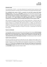# *Financial results*

The transformation of 4iG Plc. is also clearly reflected by first quarterly financial statements of the corporate group prepared in accordance with the International Financial Reporting Standards (IFRS).

**The consolidated sales revenue of 4iG Plc., accounted in line with IFRS, measured 48.9 billion Hungarian Forints,** of which value is **221% higher** compared to the same period in the previous year. **Consolidated business result indicator of the corporate group** has also improved significantly: **profit after tax of the Company accounted 2.2 billion Hungarian Forints, exceeding as of the previous year's by 287%,** and the **value of EBITDA is 14.5 billion Hungarian Forints**, which is **1 347% higher compared to the earnings before financial and depreciation gained in the first quarter of 2021.** 

When assessing the corporate group's first quarter financial performance, it should be taken into account that the consolidated comprehensive income statement does not yet include the data of Antenna Hungária Zrt.<sup>3</sup> and Albanian ONE Telecommunications. In addition, the performance of ALBtelecom, another Albanian telecommunications company, was only partially taken into account (1 month) in the preparation of the report. Another important factor is that, due to the seasonality of the IT sector, the temporal distribution of revenues in the sector is concentrated in the third and fourth quarters.

#### *Payment of dividends*

The shareholders decided at the annual ordinary General Meeting of the Company **that the Company pays dividend in the amount of 29,-HUF, i.e. twenty-nine Hungarian Forints, per share after the 2021 business year for the 102 350 843 quantity ordinary shares marketed on 31 December 2021 and reduced by 857 078 quantity of the Company's own shares.** The dividend payment date is 4 July 2022.

#### *Capital market performance*

The value of average stock market price of 4iG shares was 792,- Hungarian Forints subject to the  $1<sup>st</sup>$ quarter of 2022 was 22.7% higher compared to the same period in the previous year. The closing price was 805,- Hungarian Forints in March 2022, which exceeded the closing price as at the end of March 2021 by 21.6%. **At the time of compilation this report, 4iG shares were traded in the range between 780-820 Hungarian Forints.** With regard to the market capitalization of the Company, thereof amount was **224.8 billion** Hungarian Forints on 31 March in 2022.

<sup>3</sup> Antenna Hungária Zrt. – in English: Antenna Hungária Plc.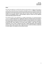#### *Vision*

One of 4iG's key objectives is to build further dominant market positions in Hungary and the region in a wide range of information and communication technologies services. **In addition to information technology, the telecommunications and telecommunicationsinfrastructure segment remains a key strategic area for the 4iG Corporate Group, which can further increase the Corporate Group's revenues and profitability thanks to easily plannable, long-term contracts and the significant revenue-generating capacity of the sector.** 

4iG Corporate Group is also embarking on a strategic transformation of its telecommunications companies **to exploit opportunities for collaboration within the Companies Group and synergies in the areas of business operations more efficiently through the future integration of the companies. The strategic objective of the Board of Directors of 4iG is to consolidate the companies operating in the B2B and B2C service segments of the Group, which combines a wide range of industry competencies, and to create a companies group with a unified organisational and management structure, which is able to operate under a single brand name and with the efficiency required by its market weight in the Hungarian and international markets.**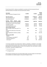The key financial 4iG Plc. indicators consolidated in accordance with the international financial reporting standards are included in the hereinunder table as follows:

| <b>Description</b><br>(data in thousands of Hungarian Forints)                              | Q1 2022     | Q1 2021     | Change<br>$+/(-)$ in<br>percentage |
|---------------------------------------------------------------------------------------------|-------------|-------------|------------------------------------|
| Net sales revenues                                                                          | 48 945 386  | 15 268 116  | 220.57%                            |
| Other operating income*                                                                     | 20 034 522  | 130 055     | 15 304.65%                         |
| Operational expenses*                                                                       | -54 459 463 | -14 394 715 | 278.33%                            |
| <b>Earnings</b><br>before<br>interest,<br>taxes,<br>depreciation and amortization (EBITIDA) | 14 520 445  | 1 003 756   | 1 346.61%                          |
| Earnings before interest and taxes (EBIT)                                                   | 6 422 251   | 710 424     | 804.00%                            |
| Profit after tax (PAT)                                                                      | 2 186 609   | 565 526     | 286.65%                            |
| Total comprehensive income                                                                  | 1016649     | 565 526     | 79.77%                             |
| <b>Stock exchange indicators</b>                                                            |             |             |                                    |
| Stock exchange closing share price** (in<br>HUF)                                            | 805         | 662         | 21.60%                             |
| Average stock market price of the shares<br>(in HUF)                                        | 792         | 646         | 22.70%                             |
| Market capitalization of 4iG Plc. (in billion<br>HUF)                                       | 224.8       | 62.2        | 261.33%                            |
| Value per share (HUF)                                                                       |             |             |                                    |
| EBITDA**                                                                                    | 68          | 10.7        | 536.67%                            |
| Net earnings per share (EPS)***                                                             | 10.2        | 6.1         | 67.24%                             |
| Diluted EPS indicator***                                                                    | 10.2        | 6.0         | 69.06%                             |
| Own equity**                                                                                | 1 3 6 8     | 88          | 1 462.02%                          |

\* The Group presented non-recurring items related to acquisitions, contributions and strategic restructurings during the period under review among Other expenditures forming a part of Other operating income and Operating expenses, which non-recurring items had a total impact on EBITDA of 4 622 897,- thousands in Hungarian Forints.

\*\* at the end of the period

\*\*\* in Hungarian Forint

Unless otherwise indicated and in line with the IFRS principles, the data included in the Flash Report are consolidated, non-audited and given in thousands of Hungarian Forints.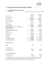# <span id="page-7-0"></span>**2. IFRS CONSOLIDATED, NON-AUDITED FINANCIAL STATEMENTS**

# **2.1 Consolidated comprehensive profit and**

**loss account**

data in thousands of Hungarian Forints unless otherwise indicated

|                                                                                      | Q1 2022     | Q1 2021     |
|--------------------------------------------------------------------------------------|-------------|-------------|
| Net sales revenues                                                                   | 48 945 386  | 15 268 116  |
| Other operating income*                                                              | 20 034 522  | 130 355     |
| <b>Revenues in total</b>                                                             | 68 979 908  | 15 398 471  |
| Goods and services sold                                                              | $-20114472$ | -10 852 091 |
| Operational expenditures                                                             | -8 459 788  | -939 698    |
| Staff costs                                                                          | $-10620518$ | $-2596308$  |
| Other expenditures*                                                                  | -15 264 685 | $-6618$     |
| <b>Operational expenses*</b>                                                         | -54 459 463 | -14 394 715 |
| Earning Before Interests, Taxes,<br>Depreciation and<br><b>Amortization (EBITDA)</b> | 14 520 445  | 1003756     |
| Depreciation and impairment                                                          | -8 098 194  | -293 332    |
| Earnings Before Interest and Tax (EBIT)                                              | 6 422 251   | 710 424     |
| <b>Financial income</b>                                                              | 5 794 729   | 88 356      |
| Financial expenditures                                                               | -8 330 587  | -89 434     |
| Profit before tax                                                                    | 3 886 393   | 709 346     |
| Income taxes                                                                         | -1 699 784  | 143 820     |
| Profit after tax                                                                     | 2 186 609   | 565 526     |
| Other comprehensive income                                                           | $-1169960$  | 0           |
| <b>Total comprehensive income</b>                                                    | 1016 649    | 565 526     |
| Earnings per share (HUF)                                                             |             |             |
| Base                                                                                 | 10.2        | 6.1         |
| Diluted                                                                              | 10.2        | 6.0         |
| From profit after tax:                                                               |             |             |
| Share per parent company                                                             | 1992738     | 595 672     |
| Share for external owner                                                             | 193 871     | $-30146$    |
| From total comprehensive income:                                                     |             |             |
| Share per parent company                                                             | 346 172     | 595 672     |
| Share for external owner                                                             | 670 477     | $-30146$    |

\* The Group presented non-recurring items related to acquisitions, contributions and strategic restructurings during the period under review in the Other operating income and Operating expenses rows, which nonrecurring items had a total impact on EBITDA of 4 622 897,- thousands in Hungarian Forints.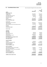# **2.2 Consolidated balance sheet**

#### data in thousands of Hungarian Forints unless otherwise

|                                                      |                   | 31              |
|------------------------------------------------------|-------------------|-----------------|
|                                                      | 31                | <b>December</b> |
|                                                      | <b>March 2022</b> | 2021            |
| <b>ASSETS:</b>                                       |                   |                 |
| Over-the-year assets                                 |                   |                 |
| Tangible assets                                      | 241 338 077       | 39 613 353      |
| Intangible assets:                                   | 39 795 265        | 9789376         |
| Lease rights, lease transactions                     | 73 674 953        | 17 837 483      |
| Contractual instruments                              | 1 300 780         | 397 601         |
| Deferred tax assets                                  | 0                 | 691 900         |
| Goodwill                                             | 295 316 662       | 114 939 039     |
| Other investments                                    | 114 115 535       | 235 986         |
| Over-the-year assets in total                        | 765 541 272       | 183 504 738     |
| <b>Current assets</b>                                |                   |                 |
| Liquid assets and cash equivalents                   | 103 656 471       | 266 530 261     |
| Trade receivables                                    | 47 130 504        | 35 926 056      |
| Other receivables and accrued and deferred assets    | 23 720 776        | 11 014 881      |
| Securities                                           | 0                 | 17 150          |
| Inventories                                          | 10 520 222        | 2 943 311       |
| <b>Current assets in total</b>                       | 185 027 973       | 316 431 659     |
|                                                      |                   |                 |
| Assets in total                                      | 950 569 245       | 499 936 398     |
| LIABILITIES:                                         |                   |                 |
| Own equity                                           |                   |                 |
| Share capital:                                       | 5981500           | 2 064 158       |
| Repurchased own share                                | $-245726$         | -245 726        |
| Capital reserve:                                     | 132 895 676       | 3 868 592       |
| Accumulated profit reserve                           | 11 785 757        | 9793019         |
| Exchange spread                                      | $-1510423$        | 136 143         |
| Own equity per parent company in total               | 148 906 784       | 15 616 186      |
| Non-controlling interest                             | 143 184 495       | 1641259         |
| Own equity in total                                  | 292 091 279       | 17 257 445      |
|                                                      |                   |                 |
| Long-term liabilities                                |                   |                 |
| Provisions                                           | 3 050 830         | 955 770         |
| Long-term credits, loans, bonds                      | 469 108 147       | 407 739 435     |
| Financial lease liabilities                          | 68 944 267        | 14 490 303      |
| Deferred tax liability                               | 1840430           | 0               |
| Long-term liabilities in total                       | 542 943 674       | 423 185 508     |
| <b>Short-term liabilities:</b>                       |                   |                 |
| Trade creditors and other accounts payable           | 23 638 047        | 23 251 567      |
| Short-term credits and loans                         | 9 382 812         | 211             |
| Other short-term liabilities and accrued liabilities | 75 372 526        | 31 792 209      |
| <b>ESOP liabilities</b>                              | 990 201           | 865 740         |
| Dividend payment liabilities                         | 42                | 42              |
| <b>Financial lease liabilities</b>                   | 6 150 664         | 3 5 8 3 6 7 6   |
| Short-term liabilities in total                      | 115 534 292       | 59 493 445      |
|                                                      |                   |                 |
| Liabilities and own equity in total                  | 950 569 245       | 499 936 398     |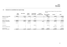data in thousands of Hungarian Forints unless otherwise

# **2.3 Statement on consolidated own equity change**

|                                |                          |            |                     |                               |                                   | indicated                         |             |                        |
|--------------------------------|--------------------------|------------|---------------------|-------------------------------|-----------------------------------|-----------------------------------|-------------|------------------------|
|                                | <b>Share</b><br>capital: | Own shares | Capital<br>reserve: | Accumulated<br>profit reserve | <b>Accrued</b><br>exchange spread | تعم رديموه بينا<br>parent company | interest    | wing and way<br>total: |
|                                |                          |            |                     |                               |                                   | in total                          |             |                        |
| Balance on 1 January 2021      | 1 880 000                | -322 930   | 816 750             | 4 928 921                     | 0                                 | 7 302 741                         | 376 085     | 7678826                |
| Purchase of own share          |                          | $-10000$   |                     |                               | 0                                 | $-10000$                          | $\Omega$    | $-10000$               |
| Profit after tax               | $\Omega$                 | 0          | 0                   | 595 672                       | 0                                 | 595 672                           | $-30146$    | 565 526                |
| Balance on 31 March 2021       | 1880000                  | -322 930   | 816 750             | 5 5 2 4 5 9 3                 | 0                                 | 7888413                           | 345 939     | 8 2 3 4 3 5 2          |
| Opening on 1 January 2022      | 2 0 6 4 1 5 8            | -245 726   | 3 868 592           | 9793019                       | 136 143                           | 15 616 186                        | 1641259     | 17 257 445             |
| Equity issue                   | 3 9 1 7 3 4 1            | 0          | 129 027 084         | 0                             | 0                                 | 132 944 425                       | 0           | 132 944 425            |
| Profit after tax               | 0                        | 0          | 0                   | 1992738                       | 0                                 | 1992738                           | 193 871     | 2 186 609              |
| NCI (non-controlling interest) | 0                        | 0          | 0                   | 0                             | 0                                 | 0                                 | 140 872 760 | 140 872 760            |
| Exchange spread                |                          | $\Omega$   |                     |                               | $-1646566$                        | $-1646566$                        | 476 606     | $-1169960$             |
| Balance on 31 March 2022       | 5981499                  | -245 726   | 132 895 676         | 11 785 757                    | $-1033817$                        | 148 906 784                       | 143 184 495 | 292 091 279            |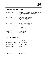# <span id="page-10-0"></span>**3. GENERAL INFORMATION ON THE ISSUER**

 $\overline{a}$ 

| Name of the company:                        | 4iG Nyilvánosan Működő Részvénytársaság <sup>4</sup> (formerly FreeSoft        |  |  |  |  |
|---------------------------------------------|--------------------------------------------------------------------------------|--|--|--|--|
|                                             | Plc. <sup>5</sup> , and Fríz 68 Szolgáltató és Kereskedelmi Rt. <sup>6</sup> ) |  |  |  |  |
| Legal status of the company:                | <b>Public Limited Company</b>                                                  |  |  |  |  |
|                                             | 1037 Budapest, Montevideo u. 8.)                                               |  |  |  |  |
| Place of business:                          | 1037 Budapest, Montevideo utca 2/C.                                            |  |  |  |  |
|                                             | 1037 Budapest, Montevideo utca 4.                                              |  |  |  |  |
|                                             | 1037 Budapest, Montevideo utca 6.                                              |  |  |  |  |
|                                             | 1107 Budapest, Somfa utca 10.                                                  |  |  |  |  |
| <b>Branch businesses:</b>                   | 8000 Székesfehérvár, Seregélyesi út 96.                                        |  |  |  |  |
|                                             | 6722 Szeged, Tisza Lajos krt. 41.                                              |  |  |  |  |
|                                             | 4025 Debrecen, Barna utca 23.                                                  |  |  |  |  |
| Company registration number:                | 01-10-044993                                                                   |  |  |  |  |
| Tax number:                                 | 12011069-2-44                                                                  |  |  |  |  |
| Statistical number:                         | 12011069-6201-114-01                                                           |  |  |  |  |
| Share capital:                              | 5 981 499 480,-HUF                                                             |  |  |  |  |
| Date of foundation:                         | 08 January 1995                                                                |  |  |  |  |
| Date of transformation:                     | 02 April 2004                                                                  |  |  |  |  |
| Date of being listed on the stock exchange: | 22 September 2004                                                              |  |  |  |  |

#### <span id="page-10-1"></span>**4. INFORMATION ON SHARES**

| Type of shares:               | registered equity share, dematerialized |
|-------------------------------|-----------------------------------------|
| Nominal value of the shares:  | 20,-HUF per quantity                    |
| Quantity of the shares:       | 299 074 974,- quantity                  |
| ISIN code of the shares:      | HU 0000167788                           |
| Series of the shares:         | ''A''                                   |
| Serial number of the shares:  | 0000001 - 299074974                     |
| Repurchased own shares:       | 857 078,- quantity                      |
| Held by 4iG ESOP Organization | 4 000 000,- quantity                    |

<sup>4</sup> 4iG Nyilvánosan Működő Részvénytársaság - in English: 4iG Public Limited Company

<sup>5</sup> FreeSoft Nyrt. - in English: FreeSoft Plc.

<sup>6</sup> Fríz 68 Szolgáltató és Kereskedelmi Rt. – in English: Fríz 68 Service Provider and Trading Company Limited by Shares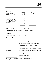# <span id="page-11-0"></span>**5. SHAREHOLDER STRUCTURE**

| <b>Main shareholders</b>                | 31<br><b>March 2022</b> | 31<br><b>March 2021</b> |
|-----------------------------------------|-------------------------|-------------------------|
| KZF Vagyonkezelő Kft. <sup>7</sup>      | 9.74%                   | 57.47%                  |
| iG COM Magántőkealap <sup>8</sup>       | 38.93%                  | n.d.                    |
| Manhattan Invest Kft. <sup>9</sup>      | 1.03%                   | 3.29%                   |
| MANHATTAN Magántőkealap <sup>10</sup>   | 0.58%                   | 1.03%                   |
| <b>Rheinmetall AG</b>                   | 25.12%                  | n.d.                    |
| Bartolomeu Investments Kft.             | 8.35%                   | n.d.                    |
| Calik Holding Anonim Sirketi            | 3.16%                   | n.d.                    |
| 4iG Corporate Group own<br>shareholding | 0.29%                   | 1.78%                   |
| 4iG ESOP Organization                   | 1.34%                   | n.d.                    |
| Free float                              | 11.47%                  | 36.43%                  |
| Total:                                  | 100.00%                 | 100.00%                 |

4iG Plc. owned 857 078,- quantity of own shares on 31 March 2022.

4iG ESOP Organization held 4 000 000,-quantity of 4iG shares on 31 March 2022.

# <span id="page-11-1"></span>**6. OFFICERS**

On 31 March 2022, 4iG Plc. executive officers were as follows.

#### **6.1 Company Management**

| <b>Board of Directors:</b> | Jászai Gellért Zoltán, Chairperson of the Board of Directors,<br><b>Chief Executive Officer</b> |
|----------------------------|-------------------------------------------------------------------------------------------------|
|                            | Tóth Béla Zsolt, member of the board of directors                                               |
|                            | Linczényi Aladin Ádám, member of the board of directors                                         |
|                            | Blénessy László, member of the board of directors                                               |
|                            | Fekete Péter Krisztián, member of the board of directors                                        |
|                            | Pedro Vargas Santos David, member of the board of directors                                     |
| <b>Supervisory Board:</b>  | Dr. Fellegi Tamás László, chairperson of the Supervisory Board                                  |
|                            | Jobbágy Dénes, member                                                                           |
|                            | Tóthné Dr Rózsa Ildikó, member                                                                  |
|                            | Helmut Paul Merch, member                                                                       |

 $7$  KZF Vagyonkezelő Kft. - in English: KZF Asset Management Private Limited Liability Company

<sup>8</sup> iG COM Magántőkealap – in English: iG COM Private Equity Fund

<sup>9</sup> Manhattan Invest Kft. – in English: Manhattan Invest Ltd.

<sup>&</sup>lt;sup>10</sup> MANHATTAN Magántőkealap - in English: MANHATTAN Private Equity Fund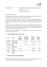Audit Committee: Dr. Fellegi Tamás László, chairperson of the Supervisory Board Jobbágy Dénes, member Tóthné Dr Rózsa Ildikó, member

Remuneration of the officers

With regard to the remuneration of the members of the Board of Directors, the Supervisory Board and the Audit Committee of the Company in therein said period is as follows.

Pursuant to General Meeting Resolution No. 15/2022. (IV.29.), the General Meeting made the decision that the members of the Board of Directors are entitled to receive honoraria of 600 000,-HUF per month per person, while the chairperson of the Board of Directors is eligible for 750 000,-HUF per month.

Pursuant to General Meeting Resolution No. 14/2022. In line with General Meeting resolution No. 14/2022 (IV.29.), the General Meeting made the decision that the members of the Supervisory Board are entitled to receive honoraria of 450 000,-HUF per month per person, while the chairperson of the Supervisory Board is eligible for 600 000,-HUF per month.

The members of the audit committee are not entitled to receive any renumeration for their work performed in the audit committee.

| Name:          | <b>Position</b>          | <b>Direct</b><br>capital<br>shareholding<br>(quantity) | Indirect capita<br>shareholding<br>(quantity) | Direct and<br>indirect<br>(quantity) | Capital<br>shareholding<br>rate $(\%)$ |  |
|----------------|--------------------------|--------------------------------------------------------|-----------------------------------------------|--------------------------------------|----------------------------------------|--|
| Jászai Gellért | president and Ch         | 0                                                      | 150 370 115                                   | 150 370 115                          | 56.87%                                 |  |
| Zoltán         | <b>Executive Officer</b> |                                                        |                                               |                                      |                                        |  |
| Pedro Vargas   | member of the            |                                                        |                                               |                                      |                                        |  |
| Santos David   | of<br>board              | $\mathbf{0}$                                           | 22 147 462                                    | 22 147 462                           | 7.41%                                  |  |
|                | directors                |                                                        |                                               |                                      |                                        |  |
| Tóth Béla      | member of the            |                                                        |                                               |                                      |                                        |  |
| Zsolt          | board of                 | 1 052 200                                              | 0                                             | 1 052 200                            | 0.35%                                  |  |
|                | directors                |                                                        |                                               |                                      |                                        |  |
| Blénessy       | member of the            | 590 765                                                | $\mathbf{0}$                                  | 590 765                              | 0.20%                                  |  |
| László         | board of                 |                                                        |                                               |                                      |                                        |  |
|                | directors                |                                                        |                                               |                                      |                                        |  |

# **6.2 4iG shareholding of the executive officers**

# <span id="page-12-0"></span>**7. PERSONS ENTITLED TO SIGN THIS REPORT**

The chairperson of the board of directors is entitled to sign the herein report individually, or any two members of the board of directors shall jointly practice signing at the Company.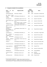# <span id="page-13-0"></span>**8. Companies included in the consolidation**

| οf<br>the<br><b>Name</b>                                                                                | <b>Registered office</b>                                           | <b>Capital</b><br>shareholding |      | <b>Notes</b>                   |
|---------------------------------------------------------------------------------------------------------|--------------------------------------------------------------------|--------------------------------|------|--------------------------------|
| company                                                                                                 |                                                                    | 2022                           | 2021 |                                |
| 4iG Montenegro DOO                                                                                      | Seika Zaida 2, Podgorica                                           | 100%                           | 100% | Incorporated: 11 October 2021  |
| Albania<br>Private<br>4iG<br>Limited<br>Liability<br>Company                                            | 1037 Budapest, Montevideo u. 8.                                    | 100%                           | n.d. | Incorporated: 23 February 2022 |
| ACE Network Plc.                                                                                        | 1124 Budapest, Lejtő út 17/A. III. em.                             | 70%                            | n.d. | Acquired: 13 April 2021        |
| Albania Telecom Invest<br>AD                                                                            | 2016 Premium Print Ruga Papa Gjon<br>Pali i II.                    | 100%                           | n.d. | Acquired: 21 March 2022        |
| ALBtelecom Sh.a.                                                                                        | Rruga Muhedin Llagami, kompleksi<br>Square 21 1000, TIRANE Albania | 80.27%                         | n.d. | Acquired: 04 March 2022        |
| "ANTENNA HUNGÁRIA<br>Ltd."                                                                              | 1119 Budapest, Petzval József u. 31-<br>33.                        | 76.78%                         | n.d. | Contribution: 22 March 2022    |
| Antenna Hungária<br>Innovációs<br>Kft. <sup>11</sup> Innovation<br>Private Limited Liability<br>Company | 1119 Budapest, Petzval József u. 31-<br>33.                        | 100%                           | n.d. | through Antenna Hungária       |
| CarpathiaSat Ltd.                                                                                       | 1037 Budapest, Montevideo u. 8.                                    | 51%                            | 51%  | Incorporated: 17 August 2020   |
| <b>DIGI</b><br>Távközlési<br>és<br>Szolgáltató Kft. <sup>12</sup>                                       | 1134 Budapest, Váci út 35.                                         | 100%                           | n.d. | Acquired: 03 January 2022      |
| <b>DIGI</b><br>Infrastruktúra<br>Kft. <sup>13</sup>                                                     | 1134 Budapest, Váci út 35.                                         | 100%                           | n.d. | Acquired: 03 January 2022      |
| Átállásért"<br>"Digitális<br>Nonprofit Kft.                                                             | 1119 Budapest, Petzvál József utca<br>$31 - 33.$                   | 100%                           | n.d. | through Antenna Hungária       |
| DTSM Ltd.                                                                                               | 1037 Budapest, Montevideo u. 8.                                    | 100%                           | 100% | Acquired: 07 December 2020     |
| Humansoft Szerviz Ltd.                                                                                  | 1037 Budapest, Montevideo u. 8.                                    | 100%                           | 100% | Incorporated: 17 April 2019    |
| Hungaro DigiTel Ltd.                                                                                    | 2310 Szigetszentmiklós / Lakihegy,<br>Komp u. 2.                   | 75%                            | 75%  | through PTI Ltd.               |
| INNObyte Plc.                                                                                           | 1115 Budapest, Bartók Béla út 105-<br>113.6. em.                   | 70%                            | 70%  | Acquired: 14 October 2020      |
| INNOWARE Ltd.                                                                                           | 1113 Budapest, Karolina út 65.                                     | 70%                            | 70%  | through INNObyte               |
| Invitech ICT Services<br>Ltd.                                                                           | 2040 Budaörs, Edison utca 4.                                       | 100%                           | 100% | Acquired:<br>30 September 2021 |
| InviTechnocom Ltd.                                                                                      | 2040 Budaörs, Edison utca 4.                                       | 100%                           | 100% | through Invitech               |

 $^{11}$  Antenna Hungária Innovációs Kft. – in English: Antenna Hungária Innovation Ltd.

 $12$  DIGI Távközlési és Szolgáltató Kft. - in English: DIGI Telecommunications and Service Ltd.

<sup>&</sup>lt;sup>13</sup> DIGI Infrastruktúra Kft. - in English: DIGI Infrastructure Private Limited Liability Company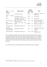|                                                           |            |     |                                                                        | Capital      |      |                                                                |  |
|-----------------------------------------------------------|------------|-----|------------------------------------------------------------------------|--------------|------|----------------------------------------------------------------|--|
| <b>Name</b>                                               | of         | the | <b>Registered office:</b>                                              | shareholding |      | <b>Notes</b>                                                   |  |
| company                                                   |            |     |                                                                        | 2022         | 2021 |                                                                |  |
| <b>INVITEL PIC.</b>                                       |            |     | 1134 Budapest, Váci út 37.                                             | 99.99%       | n.d. | <b>DIGI</b><br>Távközlési<br>through<br>és<br>Szolgáltató Kft. |  |
| <b>INVI-16</b><br>Kft. <sup>14</sup>                      | Távközlési |     | 1134 Budapest, Váci út 35.                                             | 100%         | n.d. | through INVITEL                                                |  |
| i-TV Zrt.                                                 |            |     | 1152 Budapest, Szentmihályi út 167-<br>169. Nyugati sz. ép. 4. em 4-6. | 100%         | n.d. | through INVITEL                                                |  |
| ONE Crna Gora DOO                                         |            |     | Square of the Republic, Podgorica<br>81000, Montenegro                 | 100%         | 100% | Acquired: 07 December 2021<br>through 4iG Montenegro           |  |
| <b>ONE</b><br>Telecommunications<br>sh.a.                 |            |     | "Vangjel<br>Noti"<br>Lapraka,<br>Tirane,<br>Albania                    | 99.899%      | n.d. | Acquired:<br>21<br>March<br>2022<br>Albania Telecom Invest AD  |  |
| Poli Computer PC Ltd.                                     |            |     | 1037 Budapest, Montevideo u. 8.)                                       | 100%         | 100% | Acquired: 01 June 2021                                         |  |
| Portuguese<br>Telecommunication<br>Investments Kft. (PTI) |            |     | 1085 Budapest, Kálvin tér 12.                                          | 100%         | n.d. | Contributed by capital increase:<br>12 May 2021                |  |
| Veritas Consulting Ltd.                                   |            |     | 1037 Budapest, Montevideo u. 8.)                                       | 100%         | 100% | Acquired:<br>10 September 2019                                 |  |

4iG Plc. consolidated the companies presented above as of 31 March 2022, which includes acquisitions made during the period under review. The companies acquired during the year are considered consolidated companies under International Financial Reporting Standards from the date of acquisition of control and are therefore already included in the Corporate Group's financial statements as of 31 March 2022, with balances and transactions, income and expenses between them being eliminated.

In the period under review, the following companies were added to the scope of consolidation:

<sup>&</sup>lt;sup>14</sup> INVI-16 Távközlési Kft. - in English: INVI-16 Telecommunications Private Limited Liability Company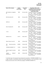| Name of the company                    | Capital      | <b>Acquisition</b> | Acquisitions effect on the                                                      |
|----------------------------------------|--------------|--------------------|---------------------------------------------------------------------------------|
|                                        | shareholding | date               | consolidated financial statements                                               |
|                                        |              |                    | of the Corporate Group in the                                                   |
|                                        |              |                    | period under review                                                             |
| DIGI Távközlési és Szolgáltató<br>Kft. | 100%         | 03 January 2022    | The balance sheet data of the company<br>three<br>months<br>consolidated<br>and |
|                                        |              |                    | statement of comprehensive income                                               |
|                                        |              |                    | are included in the consolidated                                                |
|                                        |              |                    | financial statements.                                                           |
| DIGI Infrastruktúra Kft.               | 100%         | 03 January 2022    | The balance sheet data of the company                                           |
|                                        |              |                    | consolidated<br>months<br>three<br>and                                          |
|                                        |              |                    | statement of comprehensive income                                               |
|                                        |              |                    | are included in the consolidated                                                |
|                                        |              |                    | financial statements.                                                           |
| <b>INVITEL Zrt.</b>                    | 100%         | 03 January 2022    | The balance sheet data of the company                                           |
|                                        |              |                    | consolidated<br>months<br>three<br>and                                          |
|                                        |              |                    | statement of comprehensive income                                               |
|                                        |              |                    | are included in the consolidated                                                |
|                                        |              |                    | financial statements.                                                           |
| INVI-16 Távközlési Kft.                | 100%         | 03 January 2022    | The balance sheet data of the company                                           |
|                                        |              |                    | months<br>consolidated<br>and<br>three                                          |
|                                        |              |                    | statement of comprehensive income<br>are included in the consolidated           |
|                                        |              |                    | financial statements.                                                           |
| i-TV Zrt.                              | 100%         | 03 January 2022    | The balance sheet data of the company                                           |
|                                        |              |                    | months<br>consolidated<br>and<br>three                                          |
|                                        |              |                    | statement of comprehensive income                                               |
|                                        |              |                    | are included in the consolidated                                                |
|                                        |              |                    | financial statements.                                                           |
| ALBtelecom Sh.a.                       | 80.27%       | 4 March 2022       | The balance sheet data of the company                                           |
|                                        |              |                    | month's<br>consolidated<br>and<br>one                                           |
|                                        |              |                    | statement of comprehensive income                                               |
|                                        |              |                    | are included in the consolidated                                                |
|                                        |              |                    | financial statements.                                                           |
| Albania Telecom Invest AD              | 100%         | 21 March 2022      | The balance sheet data of the company                                           |
|                                        |              |                    | included in the consolidated<br>are                                             |
|                                        |              |                    | financial statements.                                                           |
| Telecommunications<br><b>ONE</b>       | 99.899%      | 21 March 2022      | The balance sheet data of the company                                           |
| sh.a.                                  |              |                    | included in the consolidated<br>are<br>financial statements.                    |
| "ANTENNA HUNGÁRIA" Plc.*               | 76.78%       | 22 March 2022      | The balance sheet data of the company                                           |
|                                        |              |                    | included in the consolidated<br>are                                             |
|                                        |              |                    | financial statements.                                                           |
| Antenna Hungária Innovation            | 100%         | 22 March 2022      | The balance sheet data of the company                                           |
| Ltd.                                   |              |                    | are included in the consolidated                                                |
|                                        |              |                    | financial statements.                                                           |
| Átállásért"<br>"Digitális              | 100%         | 22 March 2022      | The balance sheet data of the company                                           |
| Nonprofit Ltd.*                        |              |                    | are included in the consolidated                                                |
|                                        |              |                    | financial statements.                                                           |

\* In the flash report, the Corporate Group interprets the acquisition in "ANTENNA HUNGÁRIA" Plc. as a single transaction, and therefore presents the financial statements on the record date as if the Company was the owner of the 76.78% share package of "ANTENNA HUNGÁRIA" Plc.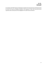In accordance with IFRS 3 Business Combinations standards, the Corporate Group will determine the fair value of the assets and liabilities identified in the acquisition no later than one year from the acquisition date and will present them highlighted in the 2022 financial statement.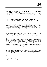# <span id="page-17-0"></span>**9. MAJOR EVENTS OF THE PERIOD (IN CHRONOLOGICAL ORDER)**

# **9.1 Acquisition of 100% shareholding of DIGI Távközlési és Szolgáltató Kft. and its subsidiaries (03 January 2022)**

4iG Plc. acquired the business share of DIGI Távközlési Szolgáltató Kft. (hereinafter referred to as: "DIGI") and its subsidiaries, that is Invitel Zrt. (in English: Invitel Plc.), I TV Zrt.<sup>15</sup> and DIGI Infrastruktúra Kft. constituting 100% of its subscribed capital.

#### **9.2 Board of Directors' decision on share capital increase (25 January 2022)**

On 24 January 2022, by its Board of Directors Resolution No. 6/2022 (I.24.), in view of the General Meeting Resolution No. 21/2021 (IX.30.) adopted on 30 September 2021, the Board of Directors of 4iG decided to increase its share capital by 77 999 999 700,-HUF, i.e. Seventy-Seven-Billion-Nine-Hundred-Ninety-Nine-Million-Nine-Nundred-Ninety-Nine-Thousand-Seven-Hundred Hungarian Forints, made available to 4iG by iG COM Magántőkealap (registered office: 1037 Budapest, Montevideo utca 8.; registration number: 6122-162; registration authority: Magyar Nemzeti Bank<sup>16</sup>; administrator: iKON Befektetési Alapkezelő Zártkörűen Működő Részvénytársaság<sup>17</sup> /registered office: 1037 Budapest, Montevideo utca 8.; company registration number: 01-10-140332/) by way of a cash contribution, by placing new shares in a private placement.

Within the framework of the share capital increase, which is implemented by the issue of 116 417 910,quantity, i.e. One-Hundred-and-Sixteen-Million-Four-Hundred-and-Seventeen-Thousand-Nine-Hundred-and-Ten shares of 4iG with a nominal value of 20,-HUF, i.e. Twenty Hungarian Forints, and an issue value of 670,-HUF, i.e. Six-Hundred-and-Seventy Hungarian Forints (the "New Shares"), the share capital (issued capital) of 4iG is increased by 2 328 358 200,-HUF, i.e. Two-Billion-Three-Hundred-and-Twenty-Eight-Million-Three-Hundred-and-Fifty-Eight-Thousand-Two-Hundred Hungarian Forints, with the excess of the cash contribution over the amount of the share capital increase, 75 671 641 500,-HUF, i.e. Seventy-Five-Billion-Six-Hundred-and-Seventy-One-Million-Six-Hundred-and-Forty-One-Thousand-Five-Hundred Hungarian Forints, transferred to the capital reserve of 4iG.

In the context of the capital increase, iG COM Magántőkealap has undertaken the obligation not to sell the 4iG shares it acquires in the course of the capital increase for a period of one (1) year from the date of the resolution on the capital increase (the "Lock-Up Period").

**9.3 Contract signing for the acquisition of a 25.12% shareholding in 4iG Plc. (25 January 2022)** Following the successful due diligence of 4iG Plc., Jászai Gellért Zoltán's investment company, KZF Vagyonkezelő Kft., 4iG Plc. and Rheinmetall AG have concluded a tripartite agreement on the acquisition of a 25.12 percent shareholding in 4iG by Rheinmetall AG through a share purchase and capital increase. The move will make Rheinmetall the largest international investor in the information

 $15$  I TV Zrt.<sup>15</sup> - in English: I TV Plc.

<sup>16</sup> Magyar Nemzeti Bank - in English: Hungarian National Bank

<sup>&</sup>lt;sup>17</sup> iKON Befektetési Alapkezelő Zártkörűen Működő Részvénytársaság - in English: iKON Investment Fund Management Private Limited Company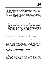and communication technologies corporate group. The closing of the multi-stage transaction is conditional on the approval by the General Meeting of 4iG of the new articles of association and the new supervisory board member of 4iG and the consent of the Ministry of the Interior to the acquisition of Rheinmetall AG under the law on the control of foreign investments that are detrimental to Hungary's security interests.

According to the agreements, Rheinmetall AG will purchase 4iG shares from KZF Vagyonkezelő Kft. in an over-the-counter (OTC) transaction. Rheinmetall AG will also participate in a multi-stage capital increase worth a total of 125 billion HUF, in which, as announced in November last year, iG COM Magántőkealap and a fund managed by Alpac Capital will participate alongside Rheinmetall AG. The capital increase by share premium will be carried out by placing 4iG shares with an issue value of 670,- HUF. Main steps of the transaction series are:

- iG COM Magántőkealap will carry out a capital increase of 78 billion HUF in 4iG, with a lock-up period of 1 year for the share package to be acquired through the capital increase;
- 4iG convenes a General Meeting to have the new articles of association of 4iG and the new supervisory board member nominated by Rheinmetall AG approved by the shareholders of 4iG;
- Following a positive decision by the General Meeting, Rheinmetall AG purchases 24.9 million shares in an over-the-counter (OTC) transaction from the investment company of Jászai Gellért Zoltán, KZF Vagyonkezelő Kft., and raises capital in 4iG to the amount of 33.65 billion HUF, with a 24-month lock-up period for the share package acquired through the share purchase and capital increase;
- The fund managed by Alpac Capital will increase the capital of 4iG by 13.24 billion HUF.

As a result of the share package sale and the capital increase, the indirect ownership of Jászai Gellért Zoltán in 4iG is expected to decrease from 56.85 percent to 50.22 percent, so his influence over 4iG will not change significantly. Rheinmetall AG's stake in 4iG will amount to 25.12 percent.

# **9.4 Signing of a non-binding Term Sheet Termination Agreement for the acquisition of 70% of TeleGroup Limited and 70% of TeleGroup Banja Luka (28 January 2022)**

4iG Plc. and Milomir Gligorijević (collectively the "Parties") have signed a joint termination agreement (hereinafter referred to as: the "Termination Agreement") on the joint termination of a non-binding agreement (the "Term Sheet") dated on 20 September 2021 relating to the acquisition of 70% of the shares of TeleGroup Limited and TeleGroup Banja Luka ("TeleGroup"), including its subsidiaries.)

#### **9.5 Publication of the Articles of Association (02 February 2022)**

4iG Plc. published its new Articles of Association.

#### **9.6 Share capital increase registered by the Company Registry Court (02 February 2022)**

With regard to the decision of the Board of Directors concerning the share capital increase published on 25 January 2022, the Company Registry Court, by its order No. Cg.01-10-044993/302, approved the registration of the changes in connection with the increase of the share capital of 4iG by the issue of new shares, and the share subscription and listing processes on the stock exchange will therefore commence.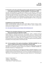#### **9.7 Information on the share subscription and share transfer agreement for the acquisition of the majority shareholding in "ANTENNA HUNGÁRIA" Zrt. (02 February 2022)**

The Share Purchase Agreement concluded by and between AH and MVM Zrt.<sup>18</sup>, aimed at the acquisition of the 100% share package of AH NET Zrt.<sup>19</sup> (formerly known as MVM NET Zrt.<sup>20</sup>), which, according to the official information of the Hungarian State, remains valid and in force, is still a part of the share subscription and transfer agreement concluded by and between 4iG and the Minister without Portfolio responsible for the Management of National Assets, acting on behalf of the Hungarian State, exercising the owner's rights over "ANTENNA HUNGARIA" Zrt. ("AH"), on 1 September 2021.

#### **9.8 EDISON Group analysis (09 February 2022)**

EDISON Investment Research Limited, one of the world's biggest investment research, investor relations and consulting firms performed another analysis on 4iG Plc., which is available via the hereinunder link in English as follows:

4iG – [New regional ICT/telecoms group emerging | Edison \(edisongroup.com\)](https://www.edisongroup.com/publication/new-regional-ict-telecoms-group-emerging/30482)

### **9.9 Signing of the Amendment Agreement for the acquisition of the 51% shareholding in Space-Communications Ltd. (09 February 2022)**

Hungaro Digitel Kft.<sup>21</sup> (hereinafter referred to as: "the Purchaser", "HDT"), a subsidiary of 4iG and Antenna Hungária Zrt. and Space-Communication Ltd (hereinafter referred to as: "Spacecom") (HDT and Spacecom together the "Parties"), have today signed an amendment to the contract entered into between the Parties on 11 October 2021 for the acquisition of 51% of the shares of Space-Communications Ltd. Pursuant to the Amendment, the Parties have agreed to extend the deadline for the fulfilment of the closing conditions until 28 February 2022.

#### **9.10 On the acquisition of the majority shareholding in "ANTENNA HUNGÁRIA" Zrt. as a result of a capital increase by way of contribution (22 February 2022)**

The Hungarian State and 4iG Plc. have agreed on the closing of the implementation of the share subscription and contribution agreement related to the acquisition of "ANTENNA HUNGÁRIA" Zrt. (hereinafter referred to as: "Closing Agreement").

As the first step, 4iG will acquire a 71.6 percentage shareholding in ANTENNA HUNGÁRIA Zrt. by way of capital increase through contribution of its 100% shares in DIGI Távközlési és Szolgáltató Kft. and its subsidiaries (Invitel Zrt., DIGI Infrastruktúra Kft., and i-TV Zrt, hereinafter collectively referred to as: "DIGI Group"), in 4iG Montenegro d.o.o. Podgorica (hereinafter referred to as: "4iG Montenegro"),

<sup>18</sup> MVM Zrt. - in English: MVM Plc.

<sup>&</sup>lt;sup>19</sup> AH NET Zrt. - in English: AH NET Plc.

<sup>20</sup> MVM NET Zrt. - in English: MVM NET Plc.

 $21$  Hungaro Digitel Kft. - in English: Hungaro Digitel Ltd.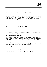which is the sole owner of Telenor d.o.o. Podgorica (hereinafter referred to as: "Telenor Montenegro"), and Invitech ICT Services Kft.<sup>22</sup> ('Invitech').

#### **9.11 Board of Directors' decision on share capital increase (23 January 2022)**

With view to General Meeting Resolution No. 21/2021 (IX.30.) adopted on 30 September 2021, with its Board of Directors Resolution No. 2/2022. (II.23.), on 23 February 2022, the Board of Directors of 4iG resolved to increase its share capital by Rheinmetall Aktiengesellschaft (registered office: Rheinmetall Platz 1., Düsseldorf, Germany DE-40476; registration number: HRB 39401) making available to 4iG 33 650 000 270,-HUF, i.e. Thirty-Three-Billion-Six-Hundred-and-Fifty-Million-Two-Hundred-and-Seventy Hungarian Forints in the form of a cash contribution, by issuing new shares in a private placement. The capital increase of Rheinmetall Aktiengesellschaft is part of a multi-stage transaction announced on 25 January 2022, in which institutional investors will implement capital increase in the total amount of 125 billion in 4iG Plc.

## **9.12 Extraordinary general meeting (24 February 2022)**

4iG Plc. held an Extraordinary General Meeting on 30 September 2022, at which the following main resolutions were adopted:

#### **General Meeting Resolution No. 3/2022 (II.24.):**

The General Meeting adopted the Remuneration Policy of the Company by means of an opinion voting in accordance with the content of the proposal.

#### **General Meeting Resolution No. 4/2022 (II.24.):**

The General Meeting elected Helmut Paul Merch (mother's name: Edith Siegel; date of birth: 20 February 1956; residential address: Rheinmetall Platz 1, 40476 Düsseldorf, Germany; tax number: 122/5413/5635; agent for service of process: CMS Cameron McKenna Nabarro Olswang LLP Hungary Branch) as a new member of the Supervisory Board of the Company for an indefinite term of office as of 24 February 2022. The remuneration of the members of the Supervisory Board is set by the Board of Directors in Board of Directors Resolution No. 5/2020 (XI.25.), adopted by the Board of Directors with the authority of the General Meeting, at 155 000,-HUF gross/month.

#### **General Meeting Resolution No. 5/2022 (II.24.):**

The General Meeting repealed General Meeting Resolution No. 21/2021 (IX.30.).

#### **General Meeting Resolution No. 6/2022 (II.24.):**

The General Meeting repealed General Meeting Resolution No. 23/2021 (IX.30.).

<sup>&</sup>lt;sup>22</sup> Invitech ICT Services Kft. - in English: ICT Services Ltd.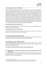#### **General Meeting Resolution No. 7/2022 (II.24.):**

The General Meeting resolved to authorise the Board of Directors for a period until 31 May 2022 to increase the share capital of the Company, by any method(s) of capital increase permitted by law, including conditional capital increase, (i) by issuing 19 761 381,- quantity ordinary shares with a nominal value of 20,-HUF, i.e. Twenty Hungarian Forints each and an issue value of 670,- HUF, i.e. Six-Hundred-Seventy Hungarian Forints (Series A), granting the same rights, in private placement, (ii) 9 463 882,- quantity ordinary shares with a nominal value of 20,- HUF, i.e. Twenty Hungarian Forints each and an issue value of 850,- HUF, i.e. Eight-Hundred-and-Fifty Hungarian Forints (Series A), granting the same rights, by granting which authorisation the General Meeting, that is the shareholders expressly consent to the increase of the share capital to be decided by the Board of Directors in accordance with this resolution. The authorization shall be subject to all related issues and resolutions on decisions otherwise referred to the scope of the general meeting, particularly – but not exclusively – the necessary amendments of the Articles of Association of the Company.

#### **General Meeting Resolution No. 8/2022 (II.24.):**

The General Meeting adopted the amended Articles of Association of the Company, which were published after the General Meeting.

#### **General Meeting Resolution No. 9/2022 (II.24.):**

The General Meeting adopted the consolidated text of the Rules of Procedure of the Supervisory Board, in force, as amended, with the content as presented.

#### **9.13 Company foundation (28 February 2022)**

On 25 February 2022, 4iG Plc. incorporated a subsidiary company registered by Fővárosi Törvényszék Cégbírósága<sup>23</sup> under the name 4iG Albánia Korlátolt Felelősségű Társaság<sup>24</sup>.

#### **9.15 EDISON Group analysis (28 February 2022)**

EDISON Investment Research Limited, one of the world's biggest investment research, investor relations and consulting firms performed another analysis on 4iG Plc., which is available via the hereinunder link in English as follows:

4iG – [Another major building block falls into place | Edison \(edisongroup.com\)](https://www.edisongroup.com/publication/another-major-building-block-falls-into-place/30563/)

#### **9.16 Closing of the transaction for the acquisition of a 25.12% shareholding in 4iG Plc. (03 March 2022)**

The transactions signed between Jászai Gellért Zoltán's investment company, KZF Vagyonkezelő Kft., 4iG and Rheinmetall AG for the acquisition of a 25.12% share in 4iG by Rheinmetall AG have been completed as a result of a multi-stage process.

<sup>&</sup>lt;sup>23</sup> Fővárosi Törvényszék Cégbírósága - in English: Company Registry Court of Budapest-Capital Regional Court

<sup>24</sup> 4iG Albánia Korlátolt Felelősségű Társaság – in English: 4iG Albania Private Limited Liability Company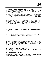# **9.17 Acquisition of 80.27 per cent of the block of shares of ALBtelecom sh.a and decision of the Board of Directors on share capital increase (04 March 2022)**

The closing of the share sale and purchase agreement announced by Plc. on 08 December 2021 has been completed following the approval of the Albanian authorities, whereby 4iG acquired an 80.27% block of shares in ALBtelecom sh.a ("ALBtelecom").

With view to the authorisation granted by General Meeting Resolution No. 7/2022 (II.24.) adopted on 24 February 2022, and the multi-step transaction for the acquisition of a share package in ALBtelecom, as a result of which one of the most significant family enterprises of Turkey, ÇALIK HOLDING ANONIM SIRKETI (registered office: Büyükdere Cad. No: 163 Esentepe, Şişli, Istanbul, Turkey, registration number: 309281; hereinafter referred to as: "ÇALIK"), as an institutional investor, will acquire a shareholding of around 3 percent in 4iG, with its Board of Directors Resolution No. 3/2022. (III.04.), on 4 March 2022, the Board of Directors of 4iG resolved to increase its share capital by putting the receivables (the "Receivable") at the disposal of 4iG by way of a non-cash contribution in kind in the amount of 8 044 299 700,-HUF, which, calculated at the EUR/HUF exchange rate of the Hungarian national Bank on 7 December 2021, corresponds to 22 000 000,-EUR provided by ÇALIK as the transferor, through the issue of new shares in a private placement.

# **9.18 Acquisition of a 99.899 per cent block of shares in One Telecommunications sh.a. (21 March 2022)**

Following a successful procedure before the Albanian Competition Authority and the financial closing of the transaction, 4iG Plc. has acquired the 100 percent shareholding of Albania Telekom Invest AD, thereby acquiring 99.899 percent indirect shareholding in One Telecommunications sh.a. By closing the transaction, 4iG has indirectly acquired the Albanian ONE mobile operator.

# **9.19 Release of shares (21 March 2022)**

As of 21 March 2022, a total of 176 105 673,-quantity, i.e. One-Hundred-and-Seventy-Six-Million-One-Hundred-and-Five-Thousand-Six-Hundred-and-Seventy-Three quantity ordinary shares with a nominal value of 20,- HUF each, giving the same rights as the shares already listed on Budapesti Értéktőzsde<sup>25</sup>, were released in connection with the capital increase decided by the Board of Directors on 24 January 2022, 23 February 2022 and 4 March 2022.

# **9.20 Extraordinary general meeting (31 March 2022)**

4iG Plc. held an Extraordinary General Meeting on 31 September 2022, at which the following main resolutions were adopted:

#### **General Meeting Resolution No. 2/2022 (III.31.):**

The General Meeting hereby adopts the final balance sheet and the inventory of assets and liabilities and its final financial statements of TR Consult Limited Liability Company.

<sup>25</sup> Budapesti Értéktőzsde - in English: the Budapest Stock Exchange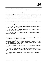#### **General Meeting Resolution No. 3/2022 (III.31.):**

The General Meeting hereby adopts the final balance sheet and the inventory of assets and liabilities and its final financial statements of DOTO Systems Zártkörűen Működő Részvénytársaság<sup>26</sup>.

#### **General Meeting Resolution No. 4 and 5/2022 (III.31.):**

The General Meeting hereby adopts the final balance sheets and inventories of assets and liabilities and the issuance of the auditor's report thereon, including the auditor's report itself regarding TR Consult Korlátolt Felelősségű Társaság<sup>27</sup> and DOTO Systems Zártkörűen Működő Részvénytársaság in connection with their merger into the Company as of 31 December 2021.

#### **General Meeting Resolution No. 6/2022 (III.31.):**

The General Meeting hereby resolves to authorize the Board of Directors to acquire the Company's own shares for the following reasons:

I. to use the own shares as acquisition consideration, or

II. to preserve the Company's flexibility for possible further capital structure optimization, redemption and/or investments of shares, or

III. the Company, in addition to the existing options, has further possibility to establish and operate share-based incentive systems, or

IV. to allow the Company to establish or change share-like or hybrid financing instruments and other investment structures.

The General Meeting hereby resolves to authorize the Board of Directors to acquire own shares as follows (Section 3:223 (1) of the Hungarian Civil Code):

I. Method of acquiring own shares: own shares may be acquired for consideration and free of charge, in exchange trading, by public offer or, unless the law excludes it, in over-the-counter trading, including by exercising a right secured by a financial instrument entitling the holder to acquire own shares (e.g. option right, conversion right, etc.).

II. The authorization shall entitle to acquire shares of all types and nominal values issued by the Company.

III. The quantity (number) of shares that may be acquired under the authorization: the total nominal value of the own shares held by the Company may not exceed25% of the share capital at any time.

IV. The duration of the authorization shall be 18 months from the date of the resolution of the General Meeting.

<sup>26</sup> DOTO Systems Zártkörűen Működő Részvénytársaság – in English: Doto Systems Private Limited Company

 $27$  TR Consult Korlátolt Felelősségű Társaság – in English: TR Consult Limited Liability Company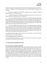If the share is acquired for consideration, the lowest amount of consideration payable for a share is 1,- HUF (i.e. one Hungarian Forint), the highest amount may not exceed 150% of the highest of the following:

1. the price of the highest of the transactions regarding 4iG shares concluded on Budapesti Értéktőzsde ("BSE") on the transaction date, or

2. the highest average price of the daily turnover-weighted average prices for 4iG shares of the 90 BSE trading days preceding the day of the transaction, or

3. the turnover-weighted average price of 4iG shares for the 90 BSE trading days preceding the date of (i) the conclusion of a contract (including, in particular, a sales agreement, option right or other security agreement) on the basis of which the own shares were acquired, or (ii) the acquisition of financial instruments giving the right to acquire own shares, or (iii) exercise of the option right or preemptive right, the exercise of the rights granted by the security agreement or the exercise of the financial instruments giving the right to acquire own shares, or

4. the turnover-weighted average price of 4iG shares for the 90 BSE trading days preceding the date of (i) the conclusion of a contract (including, in particular, a sales agreement, option right or other security agreement) on the basis of which the own shares were acquired, or (ii) the acquisition of financial instruments giving the right to acquire own shares, or (iii) exercise of the option right or preemptive right, the exercise of the rights granted by the security agreement or the exercise of the financial instruments giving the right to acquire own shares, or

The authorization shall be subject to all the related issues and resolutions on decisions otherwise referred to the scope of the general meeting.

#### **General Meeting Resolution No. 7/2022 (III.31.):**

The General Meeting amended Articles 1.4 and 11.10.2 of the Articles of Association of the Company and published the amended Articles of Association.

# <span id="page-24-0"></span>**10. EVENTS AFTER THE BALANCE SHEET DATE**

#### **10.1 Increase of share capital (1 April 2022)**

The Board of Directors of 4iG Plc. decided on 1 April 2022 with Board of Directors' Decision No. 3/2022 (IV.01.) in view of the authorization granted to it in General Meeting resolution No. 7/2022 (II.24.) to privately increase the share capital by making available to 4iG a claim of 13 240 124 600,- HUF equivalent to 37 500 000,- EUR at an exchange rate of 353.07 EUR/HUF - (the "Claim") provided by Bartolomeu Investments Korlátolt Felelősségű Társaság (registered office: 1085 Budapest, Kálvin tét 12., company registration number: 01-09-347440, "Bartolomeu") as a contributor by way of a noncash contribution, by placing new shares on market (the "Share Capital Increase"). 4iG has previously informed capital market participants of the multi-step capital increase on 25 January 2022, whereby Bartolomeu, owned by a fund managed by Alpac Capital, will participate in the current Share Capital Increase.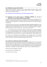## **10.2 EDISON Group analysis (07 April 2022)**

EDISON Investment Research Limited, one of the world's biggest investment research, investor relations and consulting firms performed another analysis on 4iG Plc., which is available via the hereinunder link in English as follows:

4iG – [Strong end to FY21, awaiting clarity for FY22 | Edison \(edisongroup.com\)](https://www.edisongroup.com/publication/strong-end-to-fy21-awaiting-clarity-for-fy22/30735/)

# **10.3 Registration of the capital increase of "ANTENNA HUNGÁRIA" Zrt. by way of contribution in the Commercial Register (11 April 2022)**

According to the information published on the Budapesti Értéktőzsde on 22 February 2022, the transfer of the telecommunications companies acquired by 4iG to "ANTENNA HUNGÁRIA" Zrt. as contribution, and the registration of the capital increase by contribution in the Commercial Register has taken place.

As the first step, 4iG Plc. acquired a 71.6 percentage shareholding in ANTENNA HUNGÁRIA Zrt. by way of capital increase through contribution of its 100% shares in DIGI Távközlési és Szolgáltató Kft. and its subsidiaries (Invitel Zrt., DIGI Infrastruktúra Kft., and i-TV Zrt.), in 4iG Montenegro d.o.o. Podgorica, which is the sole owner of One Crna Gora d.o.o., and Invitech ICT Services Kft.

• As the next step of the process, 4iG carried out a capital increase in "ANTENNA HUNGÁRIA" Zrt. by way of a capital contribution through a contribution in kind with its 100% stake in 4iG Albania Kft., which owns 80.27% of ALBtelecom sh.a., and its 100% stake in Albania Telekom Invest AD, which owns 99.899% of One Telecommunications sh.a., which was registered at the Company Registry Court.

As a result of the transaction, the shareholding of the Hungarian State in the national telecommunication corporate group which consists of the above companies has increased to 23.22 percent, while 4iG has a majority controlling shareholding of 76.78 percent.

#### **10.4 Conclusion of a high-value contract (12 April 2022)**

The bid of the consortium led by joint bidders 4iG and Officium Irodafejlesztő Zrt.<sup>28</sup> was announced as the winning bid in the EU open tender for the renewal of the Oracle data warehouse environment, for which the contract was signed yesterday. The contracting authority of the tender announced for, among others, the supply and installation of software and backup environment, the supply of licences, manufacturer and integrator training and operational support services, is Magyar Nemzeti Bank.

The date of the contract signing: 11 April 2022

Net contract amount: 1 825 849 801,- HUF

Term of the contract: 66 months.

<sup>28</sup> Officium Irodafejlesztő Zrt. - in English: Officium Office Development Plc.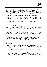## **10.5 Successful tender announcement (21 April 2022)**

Digitális Kormányzati Ügynökség Zrt.<sup>29</sup> ("DKÜ") announced the bid of the consortium led by 4iG as the winning bid. The public procurement procedure was announced for the conclusion of a framework agreement for the procurement of "General" client-side IT tools (SZGRÁ) for organisations subject to Government Decree 301/2018 (XII. 27.). Eight different joint bidding consortia were selected by DKÜ as winning bidders, one of which was the joint bidding consortium led by 4iG.

The overall amount of the framework agreement is net 250 000 000 000,-Hungarian Forints.

The umbrella agreement does not provide for automatic orders, and specific purchases will be retendered between the consortium participating in the framework agreement on the basis of the needs of the organisations concerned.

The maximum duration of the umbrella agreement is 30 months from its entry into force.

#### **10.6 Share release (21 April 2022)**

As of 21 April 2022, a total of 19 761 380,-quantity, i.e. Nineteen-Million-Seven-Hundred-and-Sixty-One-Thousand-Three-Hundred-and-Eighty quantity ordinary shares with a nominal value of 20,- HUF each, giving the same rights as the shares already listed on Budapesti Értéktőzsde, was released in connection with the capital increase decided by the Board of Directors on 01 April 2022 ("New Shares"). In view of the fact that the listing of the newly created New Shares on Budapesti Értéktőzsde requires the publication of a prospectus ("Prospectus") pursuant to Section 21 of Act CXX of 2001 on the Capital Market ("Capital Market Act"), and pursuant to Subsection (3) of Article 3 of Regulation (EU) 2017/1129 of the European Parliament and of the Council (14 June 2017) on the prospectus to be published when securities are admitted to trading on a regulated market, and repealing Directive 2003/71/EC, thus, the New Shares can only be listed on Budapesti Értéktőzsde after the approval of the Prospectus by the Hungarian National Bank as supervisor, therefore those are currently created by a tap issue on the series of shares under ISIN code HU0000194519, different from the shares already listed on the stock exchange in such a way that after the approval of the Prospectus, the New Shares created in such a way will be converted into a series with the same ISIN code HU0000167788 as the shares already listed.

The New Shares were acquired by Bartolomeu Investments Korlátolt Felelősségű Társaság (registered seat: 1085 Budapest, Kálvin tér 12., company registration number: 01-09-347440; "Bartolomeu"), as a result of which:

• the number of 4iG voting shares directly held by Bartolomeu changed from 5 207 921, i.e. five million two hundred and seven thousand nine hundred and twenty-one quantity to 24 969 301, i.e. i.e. twenty-four million nine hundred and sixty-nine thousand three hundred and one quantity, thus changing its ownership share from 1.86% to 8.35%, thus increasing its voting rights in 4iG from 1.87% to 8.37%, exceeding the 5% threshold of Section 61(3) of the Capital Market Act;

<sup>29</sup> Digitális Kormányzati Ügynökség Zrt. - in English: Digital Governmental Agency Plc.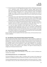- the ownership share of iG COM Magántőkealap (registered office: 1037 Budapest, Montevideo utca 8.; registration number: 6122-162; registration authority: Magyar Nemzeti Bank; administrator: iKON Befektetési Alapkezelő Zártkörűen Működő Részvénytársaság /registered office: 1037 Budapest, Montevideo utca 8.; company registration number: 01-10-140332/) changed from 41.68% to 38.93%, thus its voting rights in 4iG decreased from 41.81% to 39.04%, thereby falling below the threshold of 40% as set forth in Section 61(3) of the Capital Market Act;
- the ownership share of KZF Vagyonkezelő Korlátolt Felelősségű Társaság (registered office: 1037 Budapest, Montevideo utca 8.; company registration number: 01-09-294248) changed from 10.43% to 9.74%, thus its voting rights in 4iG decreased from 10.46% to 9.77%, thereby falling below the threshold of 10% as set forth in Section 61(3) of the Capital Market Act;
- the ownership share of Rheinmetall Aktiengesellschaft (registered seat: Rheinmetall Platz 1., Düsseldorf, Germany DE-40476; company registration number: HRB 39401) changed from 26.9% to 25.12%, thus its voting rights in 4iG decreased from 26.98% to 25.19%;
- as a result, the indirect ownership of Jászai Gellért Zoltán as the sole member of KZF Vagyonkezelő Korlátolt Felelősségű Társaság, and the sole shareholder of iKON Befektetési Alapkezelő Zártkörűen Működő Részvénytársaság, which is the fund manager of funds with ownership of 4iG shares, as well as the Chairman and CEO (executive officer) of 4iG changed from 53.84% to 50.28%, thus its voting rights in 4iG decreased from 54% to 50.42% therefore its influence over 4iG has not changed significantly.

Based on the above, with the completion of the share capital increases, the final ownership structure has been established.

#### **10.7 New Members of the Professional Advisory Board (22 April 2022)**

Upon the request of Jászai Gellért, Chairman and CEO of 4iG Plc., two new members are added to the advisory board of the info-communications corporate group. The Advisory Board responsible for the development of international relations and complex consulting functions has been expanded with Armin Papperger, Chairman and CEO of Rheinmetall AG, with outstanding experience in the defence and automotive industry, and Sunil Sabharwal, an expert widely recognized in the international financial world who currently is member of the board of directors of several renowned fintech companies. The board, now consisting of seven members, will support the decision-making and strategic work of the board of directors of 4iG.

#### **10.8 Annual Ordinary General Meeting (29 April 2022)**

4iG Plc. held its Annual Ordinary General Meeting on 29 April 2022, at which the following main resolutions were adopted:

#### **General Meeting Resolution No. 2-3-4-5-6/2022 (IV.29.):**

The General Meeting has resolved to adopt, in accordance with the content of the proposal, the individual és consolidated annual financial statement and auditor's report for the business year 2021.

The General Meeting decided that the Company pays dividend in the amount of 29,-HUF, i.e. twentynine Hungarian Forints, per share after the 2021 business year for the 102 350 843 ordinary shares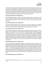marketed on 31 December 2021 and reduced by 857 078 of the Company's own shares with reference to the fact that any dividend that is payable on the Company's own shares shall be taken into account at nominal value as pertaining to shareholders with respect to the dividends payable on their shares. Furthermore, the General Meeting authorizes the Board of Directors of the Company to determine the date of the dividend payment in view of the liquidity situation of the Company with the provision that the payment of dividends must take place no later than 31 of December 2022.

#### **General Meeting Resolution No. 9/2022 (IV.29.):**

The General Meeting decides to adopt the Corporate Governance Report and Statement of the Company for 2021, in accordance with the content of the proposal, by which the Company ensures the clear and transparent operation of the Company for its owners, investors and all other market participants.

#### **General Meeting Resolution No. 10/2022 (IV.29.):**

The General Meeting establishes that the Chairman and CEO and the Members of the Board of Directors performed their work in 2021 with the priority of the interests of the Company in mind, in view of this, the General Meeting decides to grant them hold-harmless warrant for 2021.

#### **General Meeting Resolution No. 11/2022 (IV.29.):**

By this resolution, taking into account the report of the Audit Committee of the Company, the General Meeting re-elects Interauditor Consulting Korlátolt Felelősségű Társaság<sup>30</sup> (registered seat: 1074 Budapest, Vörösmarty utca 16-18. A. ép. fszt. 1F.; company registration number: 01-09-388885; Interauditor Consulting Kft." or "Auditor") starting from 1 May 2022 until the adoption of the individual and consolidated annual financial statements for 2022, but not later than 30 April 2023. The General Meeting further approves by the present resolution the appointment of Freiszberger Zsuzsanna (mother's maiden name: Böczkös Rózsa Mária; address: 2440 Százhalombatta, Rózsa utca 7.; chamber registration number: 007229) as the person personally responsible for the audit by Interauditor Consulting Kft.

#### **General Meeting Resolution No. 12/2022 (IV.29.):**

The General Meeting acknowledges the resignation of Simon Zoltán (mother's maiden name: Kiss Julianna; residential address: 2225 Üllő, Gyömrői út 94.) and Kunosi András (mother's maiden name: Nagy Mária Erzsébet; residential address: 2030 Érd, Kont utca 38.) from the Supervisory Board with effect from 29 April 2022, and the General Meeting elects, on the one hand, Jobbágy Dénes (mother's maiden name: Nikitits Angyalka Etelka; residential address: 2094 Nagykovácsi, Alma utca 3.), nominated by shareholder iG COM Magántőkealap, and, on the other hand, Dr. Fellegi Tamás László (mother's maiden name: Haba Mária; residential address: 2000 Szentendre, Levendula utca 15.) as new members of the Supervisory Board of the Company, for an indefinite period starting from 29 April 2022.

#### **General Meeting Resolution No. 14/2022 (IV.24.):**

<sup>&</sup>lt;sup>30</sup> Interauditor Consulting Korlátolt Felelősségű Társaság - in English: Interauditor Consulting Private Limited Liability Company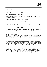The General Meeting establishes the monthly remuneration of the members of the Supervisory Board at the following amounts:

Chairman of the Supervisory Board: gross 600 000,-HUF / month

Members of the Supervisory Board: gross 450 000,-HUF / month

#### **General Meeting Resolution No. 15/2022 (IV.29.):**

The General Meeting establishes the monthly remuneration of the members of the Board of Directors at the following amounts:

Chairman of the Board of Directors: gross 750 000,-HUF / month

Members of the Board of Directors: gross 600 000,-HUF / month

#### **General Meeting Resolution No. 16/2022 (IV.29.):**

The General Meeting adopted the Remuneration Policy of the Company in accordance with the content of the proposal.

#### **General Meeting Resolution No. 18/2022 (IV.29.):**

The General Meeting amended the Articles of Association of the Company on several points, and published the amended consolidated Articles of Association on the day of the General Meeting.

#### **10.9 Sale of Shares (29 April 2022)**

With view to the share sales contract concluded between Bartolomeu Investments Korlátolt Felelősségű Társaság (registered office: 1085 Budapest, Kálvin tér 12., company registration number: 01-09-347440; "Bartolomeu") as the seller and KZF Vagyonkezelő Korlátolt Felelősségű Társaság (registered office: 1037 Budapest, Montevideo utca 8.; company registration number: 01-09-294248; "KZF"), as the purchaser, on 29 April 2022 (the Share Sales Contract"), within the framework of an over-the-counter transaction (OTC), at an average price of 880.00,-HUF per share, KZF acquired 2 821 839, i.e. two million eight hundred and twenty-one thousand eight hundred and thirty-nine ordinary shares issued by 4iG with a nominal value of 20.00,-HUF each, with the same rights as the shares already listed on Budapesti Értéktőzsde under ISIN code HU0000194519 (the "Shares"). In view of the fact that the listing of the Shares on Budapesti Értéktőzsde requires the publication of a prospectus ("Prospectus") pursuant to Section 21 of Act CXX of 2001 on the Capital Market ("Capital Market Act"), and pursuant to Subsection (3) of Article 3 of Regulation (EU) 2017/1129 of the European Parliament and of the Council (14 June 2017) on the prospectus to be published when securities are admitted to trading on a regulated market, and repealing Directive 2003/71/EC, thus, the Shares can only be listed on Budapesti Értéktőzsde after the approval of the Prospectus by the Hungarian National Bank as supervisor, in view of which, following the approval of the Prospectus, the Shares will be converted into the same series as the already listed Shares, with ISIN HU0000167788.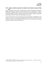# **10.10 Signing a preliminary agreement to establish a joint subsidiary company (16 May 2022)**

4iG Plc., Rheinmetall AG ("Rheinmetall") and HM Elektronikai, Logisztikai és Vagyonkezelő Zártkörűen Működő Részvénytársaság $31$  signed a preliminary agreement on the establishment of a defence industrial joint subsidiary company. The parties agreed that Rheinmetall shall become the majority shareholder owning 51% of the Joint Subsidiary Company shares, with that, in addition to thereof 4iG will own 39% and HM EI Zrt. will have 10% shareholding in the company.

The aim of the founders is that the Joint Subsidiary Company participates in the digitalisation of the Hungarian Armed Forces and develop and trade digital devices for the NATO member states in Central and Eastern Europe in. The JSC established by the partners will be a central element of the digital development strategies of Rheinmetall AG and 4iG.

<sup>31</sup> HM Elektronikai, Logisztikai és Vagyonkezelő Zártkörűen Működő Részvénytársaság - in English: HM Electronics, Logistics and Property Management Private Limited Company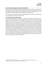# **10.11 Conclusion of a high-value contract (20 May 2022)**

Digitális Kormányzati Ügynökség Zrt. ("DKÜ") announced the bid of the consortium led by 4iG as the winning bid as a result of the centralised public procurement procedure launched by the re-launch of the competitive tender procedure "Further development of FELIR for the implementation of rural development monitoring" by Élelmiszerlánc-biztonsági Centrum Nonprofit Kft.<sup>32</sup>

The net amount of the framework agreement is 1 899 676 800,-HUF, and in addition 379 898 100,-HUF can be optionally drawn during the contract period.

## **10.12 Dividend payment (20 May 2022)**

In General Meeting Resolution No. 3/2022. (IV.29.), adopted on 29 April 2022, with view to the content of the 2021 reports presented, the General Meeting of the company resolved that the Company pays dividend in the amount of 29,-HUF, i.e. Twenty-Nine Hungarian Forints, per share after the 2021 business year for the 102 350 843,-quantity of ordinary shares marketed on 31 December 2021 and reduced by 857 078 of the Company's own shares with reference to the fact that any dividend that is payable on the Company's own shares shall be taken into account at nominal value as pertaining to shareholders with respect to the dividends payable on their shares. Furthermore, in the above General Meeting Resolution, the General Meeting resolved to authorize the Board of Directors of the Company to determine the date of the dividend payment in view of the liquidity situation of the Company with the provision that the payment of dividends must take place no later than 31 of December 2022. Based on the authorisation granted thus, in its Resolution of the Board of Directors No. 1/2022. (V.20.), passed on 20 May 2022, taking into account the liquidity situation of the Company, the Board of Directors of the Company has decided that the dividend will be paid from 4 July 2022; at the same time, the Board of Directors has established and adopted the Company's dividend payment policy. The dividends are paid with the assistance of KELER Zrt.<sup>33</sup>

<sup>32</sup> Élelmiszerlánc-biztonsági Centrum Nonprofit Kft. - in English: Food Chain Safety Centre Non-Profit Ltd.

<sup>33</sup> KELER Zrt. - in English: Central Clearing House and Depository Plc.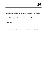#### <span id="page-32-0"></span>**11. REPRESENTATION**

The Issuer shall hereby state that the flash report on the development and performance of the Company is reliable, and the data and statements are in accordance with reality, and do not hide any fact which are considered to be significant from the point of evaluating the situation of the Issuer.

Pursuant to Section 57(1) of the Capital Market Act, the Issuer shall be liable for compensation for any damage caused by the non-disclosure or misleading content of regulated information.

I accept liability for the figures in this flash report for the first quarter of 2022 and for the accuracy of the analyses and conclusions.

Budapest, 31 May 2022

Jászai Gellért **Tóth Béla Zsolt** President and Chief Executive Officer Member of the Board of Directors